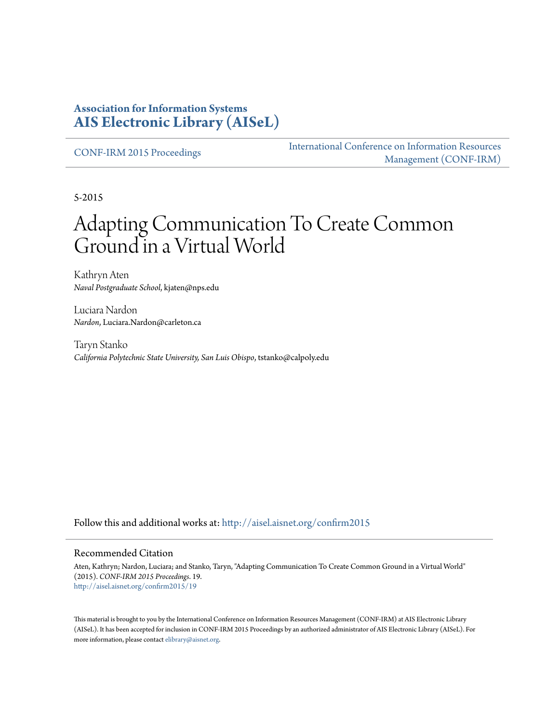#### **Association for Information Systems [AIS Electronic Library \(AISeL\)](http://aisel.aisnet.org?utm_source=aisel.aisnet.org%2Fconfirm2015%2F19&utm_medium=PDF&utm_campaign=PDFCoverPages)**

[CONF-IRM 2015 Proceedings](http://aisel.aisnet.org/confirm2015?utm_source=aisel.aisnet.org%2Fconfirm2015%2F19&utm_medium=PDF&utm_campaign=PDFCoverPages)

[International Conference on Information Resources](http://aisel.aisnet.org/conf-irm?utm_source=aisel.aisnet.org%2Fconfirm2015%2F19&utm_medium=PDF&utm_campaign=PDFCoverPages) [Management \(CONF-IRM\)](http://aisel.aisnet.org/conf-irm?utm_source=aisel.aisnet.org%2Fconfirm2015%2F19&utm_medium=PDF&utm_campaign=PDFCoverPages)

5-2015

# Adapting Communication To Create Common Ground in a Virtual World

Kathryn Aten *Naval Postgraduate School*, kjaten@nps.edu

Luciara Nardon *Nardon*, Luciara.Nardon@carleton.ca

Taryn Stanko *California Polytechnic State University, San Luis Obispo*, tstanko@calpoly.edu

Follow this and additional works at: [http://aisel.aisnet.org/confirm2015](http://aisel.aisnet.org/confirm2015?utm_source=aisel.aisnet.org%2Fconfirm2015%2F19&utm_medium=PDF&utm_campaign=PDFCoverPages)

#### Recommended Citation

Aten, Kathryn; Nardon, Luciara; and Stanko, Taryn, "Adapting Communication To Create Common Ground in a Virtual World" (2015). *CONF-IRM 2015 Proceedings*. 19. [http://aisel.aisnet.org/confirm2015/19](http://aisel.aisnet.org/confirm2015/19?utm_source=aisel.aisnet.org%2Fconfirm2015%2F19&utm_medium=PDF&utm_campaign=PDFCoverPages)

This material is brought to you by the International Conference on Information Resources Management (CONF-IRM) at AIS Electronic Library (AISeL). It has been accepted for inclusion in CONF-IRM 2015 Proceedings by an authorized administrator of AIS Electronic Library (AISeL). For more information, please contact [elibrary@aisnet.org.](mailto:elibrary@aisnet.org%3E)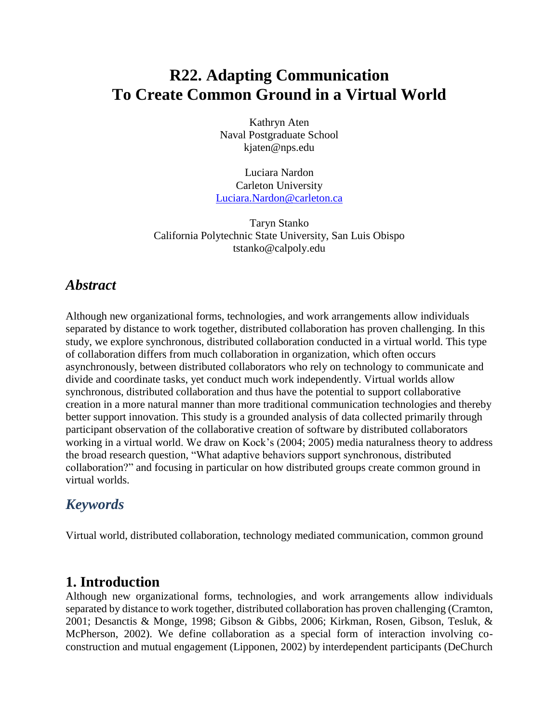# **R22. Adapting Communication To Create Common Ground in a Virtual World**

Kathryn Aten Naval Postgraduate School kjaten@nps.edu

Luciara Nardon Carleton University [Luciara.Nardon@carleton.ca](mailto:Luciara.Nardon@carleton.ca)

Taryn Stanko California Polytechnic State University, San Luis Obispo tstanko@calpoly.edu

## *Abstract*

Although new organizational forms, technologies, and work arrangements allow individuals separated by distance to work together, distributed collaboration has proven challenging. In this study, we explore synchronous, distributed collaboration conducted in a virtual world. This type of collaboration differs from much collaboration in organization, which often occurs asynchronously, between distributed collaborators who rely on technology to communicate and divide and coordinate tasks, yet conduct much work independently. Virtual worlds allow synchronous, distributed collaboration and thus have the potential to support collaborative creation in a more natural manner than more traditional communication technologies and thereby better support innovation. This study is a grounded analysis of data collected primarily through participant observation of the collaborative creation of software by distributed collaborators working in a virtual world. We draw on Kock's (2004; 2005) media naturalness theory to address the broad research question, "What adaptive behaviors support synchronous, distributed collaboration?" and focusing in particular on how distributed groups create common ground in virtual worlds.

# *Keywords*

Virtual world, distributed collaboration, technology mediated communication, common ground

### **1. Introduction**

Although new organizational forms, technologies, and work arrangements allow individuals separated by distance to work together, distributed collaboration has proven challenging (Cramton, 2001; Desanctis & Monge, 1998; Gibson & Gibbs, 2006; Kirkman, Rosen, Gibson, Tesluk, & McPherson, 2002). We define collaboration as a special form of interaction involving coconstruction and mutual engagement (Lipponen, 2002) by interdependent participants (DeChurch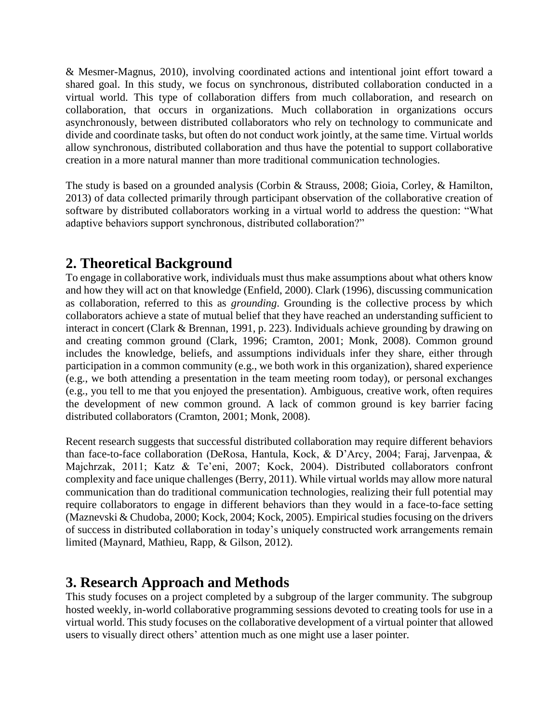& Mesmer-Magnus, 2010), involving coordinated actions and intentional joint effort toward a shared goal. In this study, we focus on synchronous, distributed collaboration conducted in a virtual world. This type of collaboration differs from much collaboration, and research on collaboration, that occurs in organizations. Much collaboration in organizations occurs asynchronously, between distributed collaborators who rely on technology to communicate and divide and coordinate tasks, but often do not conduct work jointly, at the same time. Virtual worlds allow synchronous, distributed collaboration and thus have the potential to support collaborative creation in a more natural manner than more traditional communication technologies.

The study is based on a grounded analysis (Corbin & Strauss, 2008; Gioia, Corley, & Hamilton, 2013) of data collected primarily through participant observation of the collaborative creation of software by distributed collaborators working in a virtual world to address the question: "What adaptive behaviors support synchronous, distributed collaboration?"

## **2. Theoretical Background**

To engage in collaborative work, individuals must thus make assumptions about what others know and how they will act on that knowledge (Enfield, 2000). Clark (1996), discussing communication as collaboration, referred to this as *grounding*. Grounding is the collective process by which collaborators achieve a state of mutual belief that they have reached an understanding sufficient to interact in concert (Clark & Brennan, 1991, p. 223). Individuals achieve grounding by drawing on and creating common ground (Clark, 1996; Cramton, 2001; Monk, 2008). Common ground includes the knowledge, beliefs, and assumptions individuals infer they share, either through participation in a common community (e.g., we both work in this organization), shared experience (e.g., we both attending a presentation in the team meeting room today), or personal exchanges (e.g., you tell to me that you enjoyed the presentation). Ambiguous, creative work, often requires the development of new common ground. A lack of common ground is key barrier facing distributed collaborators (Cramton, 2001; Monk, 2008).

Recent research suggests that successful distributed collaboration may require different behaviors than face-to-face collaboration (DeRosa, Hantula, Kock, & D'Arcy, 2004; Faraj, Jarvenpaa, & Majchrzak, 2011; Katz & Te'eni, 2007; Kock, 2004). Distributed collaborators confront complexity and face unique challenges (Berry, 2011). While virtual worlds may allow more natural communication than do traditional communication technologies, realizing their full potential may require collaborators to engage in different behaviors than they would in a face-to-face setting (Maznevski & Chudoba, 2000; Kock, 2004; Kock, 2005). Empirical studies focusing on the drivers of success in distributed collaboration in today's uniquely constructed work arrangements remain limited (Maynard, Mathieu, Rapp, & Gilson, 2012).

# **3. Research Approach and Methods**

This study focuses on a project completed by a subgroup of the larger community. The subgroup hosted weekly, in-world collaborative programming sessions devoted to creating tools for use in a virtual world. This study focuses on the collaborative development of a virtual pointer that allowed users to visually direct others' attention much as one might use a laser pointer.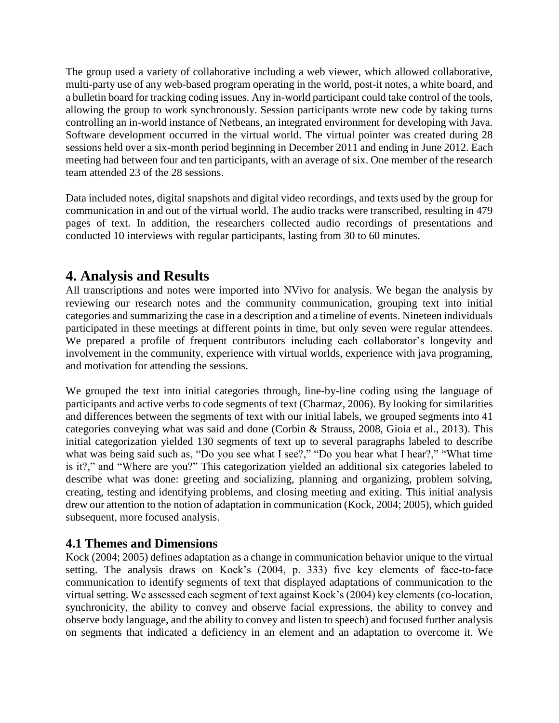The group used a variety of collaborative including a web viewer, which allowed collaborative, multi-party use of any web-based program operating in the world, post-it notes, a white board, and a bulletin board for tracking coding issues. Any in-world participant could take control of the tools, allowing the group to work synchronously. Session participants wrote new code by taking turns controlling an in-world instance of Netbeans, an integrated environment for developing with Java. Software development occurred in the virtual world. The virtual pointer was created during 28 sessions held over a six-month period beginning in December 2011 and ending in June 2012. Each meeting had between four and ten participants, with an average of six. One member of the research team attended 23 of the 28 sessions.

Data included notes, digital snapshots and digital video recordings, and texts used by the group for communication in and out of the virtual world. The audio tracks were transcribed, resulting in 479 pages of text. In addition, the researchers collected audio recordings of presentations and conducted 10 interviews with regular participants, lasting from 30 to 60 minutes.

# **4. Analysis and Results**

All transcriptions and notes were imported into NVivo for analysis. We began the analysis by reviewing our research notes and the community communication, grouping text into initial categories and summarizing the case in a description and a timeline of events. Nineteen individuals participated in these meetings at different points in time, but only seven were regular attendees. We prepared a profile of frequent contributors including each collaborator's longevity and involvement in the community, experience with virtual worlds, experience with java programing, and motivation for attending the sessions.

We grouped the text into initial categories through, line-by-line coding using the language of participants and active verbs to code segments of text (Charmaz, 2006). By looking for similarities and differences between the segments of text with our initial labels, we grouped segments into 41 categories conveying what was said and done (Corbin & Strauss, 2008, Gioia et al., 2013). This initial categorization yielded 130 segments of text up to several paragraphs labeled to describe what was being said such as, "Do you see what I see?," "Do you hear what I hear?," "What time is it?," and "Where are you?" This categorization yielded an additional six categories labeled to describe what was done: greeting and socializing, planning and organizing, problem solving, creating, testing and identifying problems, and closing meeting and exiting. This initial analysis drew our attention to the notion of adaptation in communication (Kock, 2004; 2005), which guided subsequent, more focused analysis.

### **4.1 Themes and Dimensions**

Kock (2004; 2005) defines adaptation as a change in communication behavior unique to the virtual setting. The analysis draws on Kock's (2004, p. 333) five key elements of face-to-face communication to identify segments of text that displayed adaptations of communication to the virtual setting. We assessed each segment of text against Kock's (2004) key elements (co-location, synchronicity, the ability to convey and observe facial expressions, the ability to convey and observe body language, and the ability to convey and listen to speech) and focused further analysis on segments that indicated a deficiency in an element and an adaptation to overcome it. We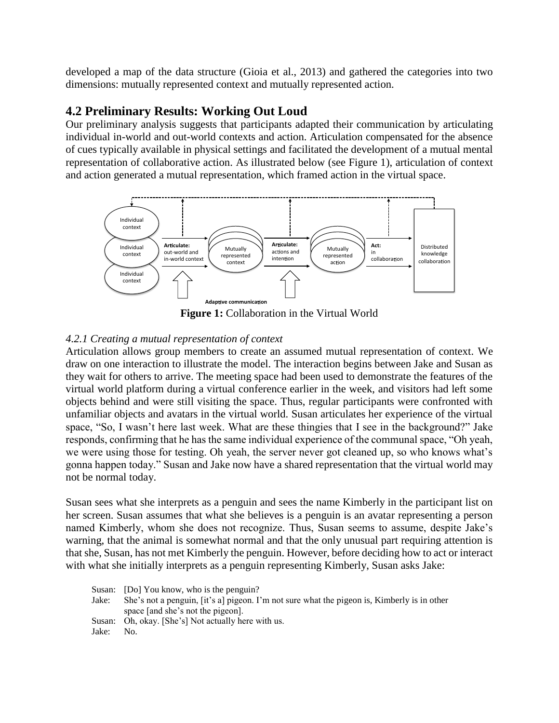developed a map of the data structure (Gioia et al., 2013) and gathered the categories into two dimensions: mutually represented context and mutually represented action.

#### **4.2 Preliminary Results: Working Out Loud**

Our preliminary analysis suggests that participants adapted their communication by articulating individual in-world and out-world contexts and action. Articulation compensated for the absence of cues typically available in physical settings and facilitated the development of a mutual mental representation of collaborative action. As illustrated below (see Figure 1), articulation of context and action generated a mutual representation, which framed action in the virtual space.



**Figure 1:** Collaboration in the Virtual World

#### *4.2.1 Creating a mutual representation of context*

Articulation allows group members to create an assumed mutual representation of context. We draw on one interaction to illustrate the model. The interaction begins between Jake and Susan as they wait for others to arrive. The meeting space had been used to demonstrate the features of the virtual world platform during a virtual conference earlier in the week, and visitors had left some objects behind and were still visiting the space. Thus, regular participants were confronted with unfamiliar objects and avatars in the virtual world. Susan articulates her experience of the virtual space, "So, I wasn't here last week. What are these thingies that I see in the background?" Jake responds, confirming that he has the same individual experience of the communal space, "Oh yeah, we were using those for testing. Oh yeah, the server never got cleaned up, so who knows what's gonna happen today." Susan and Jake now have a shared representation that the virtual world may not be normal today.

Susan sees what she interprets as a penguin and sees the name Kimberly in the participant list on her screen. Susan assumes that what she believes is a penguin is an avatar representing a person named Kimberly, whom she does not recognize. Thus, Susan seems to assume, despite Jake's warning, that the animal is somewhat normal and that the only unusual part requiring attention is that she, Susan, has not met Kimberly the penguin. However, before deciding how to act or interact with what she initially interprets as a penguin representing Kimberly, Susan asks Jake:

|       | Susan: [Do] You know, who is the penguin?                                                   |
|-------|---------------------------------------------------------------------------------------------|
| Jake: | She's not a penguin, [it's a] pigeon. I'm not sure what the pigeon is, Kimberly is in other |
|       | space [and she's not the pigeon].                                                           |
|       | Susan: Oh, okay. [She's] Not actually here with us.                                         |
| Jake: | No.                                                                                         |
|       |                                                                                             |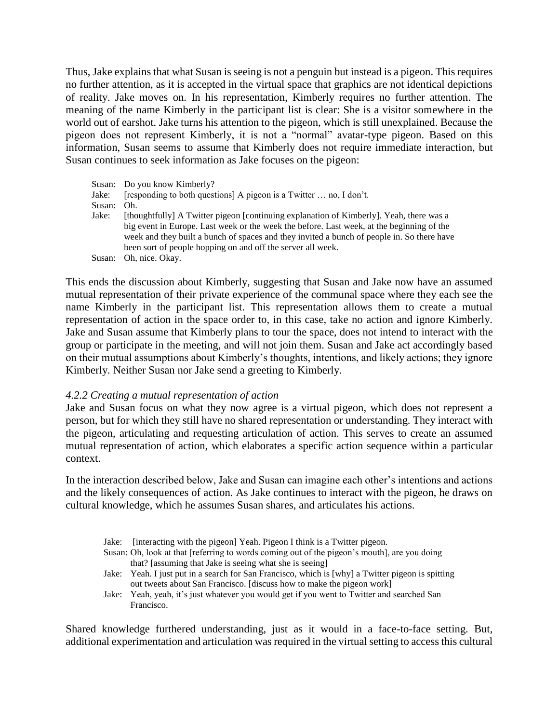Thus, Jake explains that what Susan is seeing is not a penguin but instead is a pigeon. This requires no further attention, as it is accepted in the virtual space that graphics are not identical depictions of reality. Jake moves on. In his representation, Kimberly requires no further attention. The meaning of the name Kimberly in the participant list is clear: She is a visitor somewhere in the world out of earshot. Jake turns his attention to the pigeon, which is still unexplained. Because the pigeon does not represent Kimberly, it is not a "normal" avatar-type pigeon. Based on this information, Susan seems to assume that Kimberly does not require immediate interaction, but Susan continues to seek information as Jake focuses on the pigeon:

|        | Susan: Do you know Kimberly?                                                               |  |  |  |  |  |
|--------|--------------------------------------------------------------------------------------------|--|--|--|--|--|
| Jake:  | [responding to both questions] A pigeon is a Twitter  no, I don't.                         |  |  |  |  |  |
| Susan: | Oh.                                                                                        |  |  |  |  |  |
| Jake:  | [thoughtfully] A Twitter pigeon [continuing explanation of Kimberly]. Yeah, there was a    |  |  |  |  |  |
|        | big event in Europe. Last week or the week the before. Last week, at the beginning of the  |  |  |  |  |  |
|        | week and they built a bunch of spaces and they invited a bunch of people in. So there have |  |  |  |  |  |
|        | been sort of people hopping on and off the server all week.                                |  |  |  |  |  |
|        | Susan: Oh, nice. Okay.                                                                     |  |  |  |  |  |

This ends the discussion about Kimberly, suggesting that Susan and Jake now have an assumed mutual representation of their private experience of the communal space where they each see the name Kimberly in the participant list. This representation allows them to create a mutual representation of action in the space order to, in this case, take no action and ignore Kimberly. Jake and Susan assume that Kimberly plans to tour the space, does not intend to interact with the group or participate in the meeting, and will not join them. Susan and Jake act accordingly based on their mutual assumptions about Kimberly's thoughts, intentions, and likely actions; they ignore Kimberly. Neither Susan nor Jake send a greeting to Kimberly.

#### *4.2.2 Creating a mutual representation of action*

Jake and Susan focus on what they now agree is a virtual pigeon, which does not represent a person, but for which they still have no shared representation or understanding. They interact with the pigeon, articulating and requesting articulation of action. This serves to create an assumed mutual representation of action, which elaborates a specific action sequence within a particular context.

In the interaction described below, Jake and Susan can imagine each other's intentions and actions and the likely consequences of action. As Jake continues to interact with the pigeon, he draws on cultural knowledge, which he assumes Susan shares, and articulates his actions.

|  |  |  |  |  |  | Jake: [interacting with the pigeon] Yeah. Pigeon I think is a Twitter pigeon. |
|--|--|--|--|--|--|-------------------------------------------------------------------------------|
|--|--|--|--|--|--|-------------------------------------------------------------------------------|

- Susan: Oh, look at that [referring to words coming out of the pigeon's mouth], are you doing that? [assuming that Jake is seeing what she is seeing]
- Jake: Yeah. I just put in a search for San Francisco, which is [why] a Twitter pigeon is spitting out tweets about San Francisco. [discuss how to make the pigeon work]
- Jake: Yeah, yeah, it's just whatever you would get if you went to Twitter and searched San Francisco.

Shared knowledge furthered understanding, just as it would in a face-to-face setting. But, additional experimentation and articulation was required in the virtual setting to access this cultural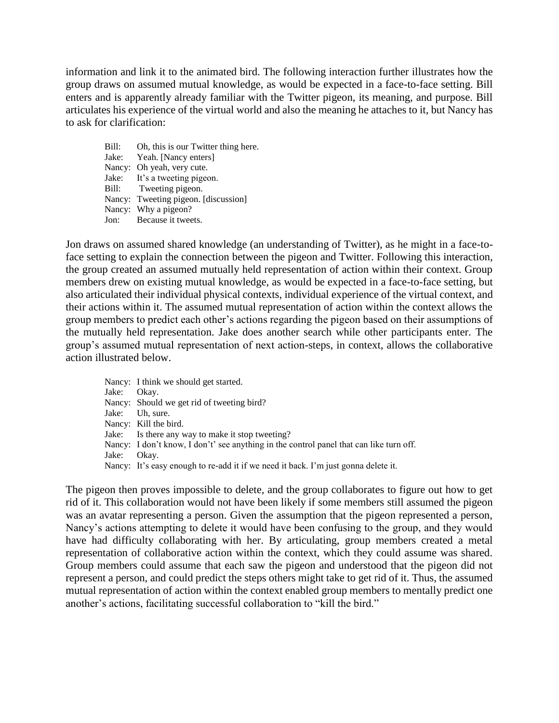information and link it to the animated bird. The following interaction further illustrates how the group draws on assumed mutual knowledge, as would be expected in a face-to-face setting. Bill enters and is apparently already familiar with the Twitter pigeon, its meaning, and purpose. Bill articulates his experience of the virtual world and also the meaning he attaches to it, but Nancy has to ask for clarification:

Bill: Oh, this is our Twitter thing here. Jake: Yeah. [Nancy enters] Nancy: Oh yeah, very cute. Jake: It's a tweeting pigeon. Bill: Tweeting pigeon. Nancy: Tweeting pigeon. [discussion] Nancy: Why a pigeon? Jon: Because it tweets.

Jon draws on assumed shared knowledge (an understanding of Twitter), as he might in a face-toface setting to explain the connection between the pigeon and Twitter. Following this interaction, the group created an assumed mutually held representation of action within their context. Group members drew on existing mutual knowledge, as would be expected in a face-to-face setting, but also articulated their individual physical contexts, individual experience of the virtual context, and their actions within it. The assumed mutual representation of action within the context allows the group members to predict each other's actions regarding the pigeon based on their assumptions of the mutually held representation. Jake does another search while other participants enter. The group's assumed mutual representation of next action-steps, in context, allows the collaborative action illustrated below.

Nancy: I think we should get started. Jake: Okay. Nancy: Should we get rid of tweeting bird? Jake: Uh, sure. Nancy: Kill the bird. Jake: Is there any way to make it stop tweeting? Nancy: I don't know, I don't' see anything in the control panel that can like turn off. Jake: Okay. Nancy: It's easy enough to re-add it if we need it back. I'm just gonna delete it.

The pigeon then proves impossible to delete, and the group collaborates to figure out how to get rid of it. This collaboration would not have been likely if some members still assumed the pigeon was an avatar representing a person. Given the assumption that the pigeon represented a person, Nancy's actions attempting to delete it would have been confusing to the group, and they would have had difficulty collaborating with her. By articulating, group members created a metal representation of collaborative action within the context, which they could assume was shared. Group members could assume that each saw the pigeon and understood that the pigeon did not represent a person, and could predict the steps others might take to get rid of it. Thus, the assumed mutual representation of action within the context enabled group members to mentally predict one another's actions, facilitating successful collaboration to "kill the bird."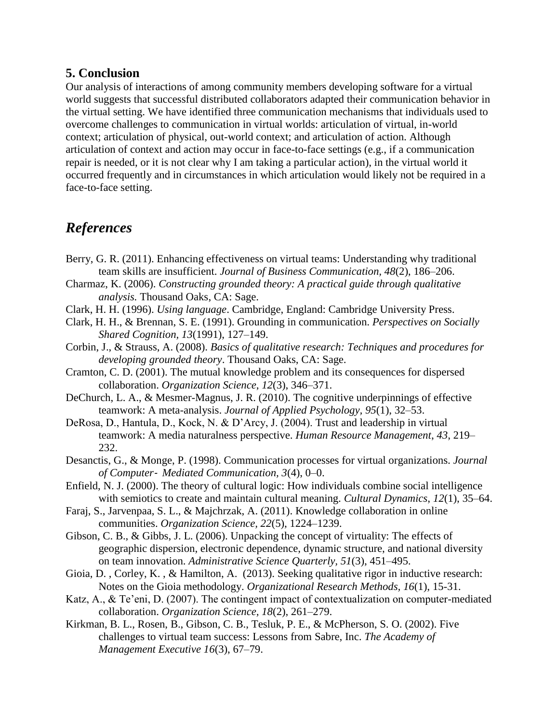#### **5. Conclusion**

Our analysis of interactions of among community members developing software for a virtual world suggests that successful distributed collaborators adapted their communication behavior in the virtual setting. We have identified three communication mechanisms that individuals used to overcome challenges to communication in virtual worlds: articulation of virtual, in-world context; articulation of physical, out-world context; and articulation of action. Although articulation of context and action may occur in face-to-face settings (e.g., if a communication repair is needed, or it is not clear why I am taking a particular action), in the virtual world it occurred frequently and in circumstances in which articulation would likely not be required in a face-to-face setting.

### *References*

- Berry, G. R. (2011). Enhancing effectiveness on virtual teams: Understanding why traditional team skills are insufficient. *Journal of Business Communication, 48*(2), 186–206.
- Charmaz, K. (2006). *Constructing grounded theory: A practical guide through qualitative analysis.* Thousand Oaks, CA: Sage.
- Clark, H. H. (1996). *Using language*. Cambridge, England: Cambridge University Press.
- Clark, H. H., & Brennan, S. E. (1991). Grounding in communication. *Perspectives on Socially Shared Cognition, 13*(1991), 127–149.
- Corbin, J., & Strauss, A. (2008). *Basics of qualitative research: Techniques and procedures for developing grounded theory*. Thousand Oaks, CA: Sage.
- Cramton, C. D. (2001). The mutual knowledge problem and its consequences for dispersed collaboration. *Organization Science*, *12*(3), 346–371.
- DeChurch, L. A., & Mesmer-Magnus, J. R. (2010). The cognitive underpinnings of effective teamwork: A meta-analysis. *Journal of Applied Psychology, 95*(1), 32–53.
- DeRosa, D., Hantula, D., Kock, N. & D'Arcy, J. (2004). Trust and leadership in virtual teamwork: A media naturalness perspective. *Human Resource Management*, *43*, 219– 232.
- Desanctis, G., & Monge, P. (1998). Communication processes for virtual organizations. *Journal of Computer*‐ *Mediated Communication, 3*(4), 0–0.
- Enfield, N. J. (2000). The theory of cultural logic: How individuals combine social intelligence with semiotics to create and maintain cultural meaning. *Cultural Dynamics*, *12*(1), 35–64.
- Faraj, S., Jarvenpaa, S. L., & Majchrzak, A. (2011). Knowledge collaboration in online communities. *Organization Science, 22*(5), 1224–1239.
- Gibson, C. B., & Gibbs, J. L. (2006). Unpacking the concept of virtuality: The effects of geographic dispersion, electronic dependence, dynamic structure, and national diversity on team innovation. *Administrative Science Quarterly, 51*(3), 451–495.
- Gioia, D. , Corley, K. , & Hamilton, A. (2013). Seeking qualitative rigor in inductive research: Notes on the Gioia methodology. *Organizational Research Methods, 16*(1), 15-31.
- Katz, A., & Te'eni, D. (2007). The contingent impact of contextualization on computer-mediated collaboration. *Organization Science, 18*(2), 261–279.
- Kirkman, B. L., Rosen, B., Gibson, C. B., Tesluk, P. E., & McPherson, S. O. (2002). Five challenges to virtual team success: Lessons from Sabre, Inc. *The Academy of Management Executive 16*(3), 67–79.